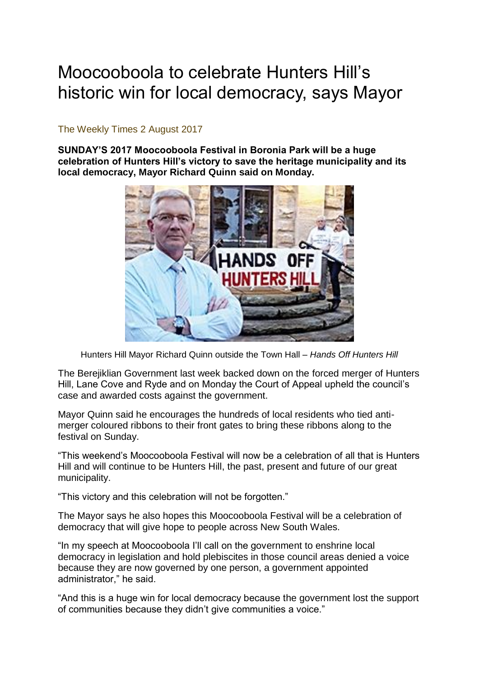## Moocooboola to celebrate Hunters Hill's historic win for local democracy, says Mayor

## The Weekly Times 2 August 2017

**SUNDAY'S 2017 Moocooboola Festival in Boronia Park will be a huge celebration of Hunters Hill's victory to save the heritage municipality and its local democracy, Mayor Richard Quinn said on Monday.**



Hunters Hill Mayor Richard Quinn outside the Town Hall – *Hands Off Hunters Hill*

The Berejiklian Government last week backed down on the forced merger of Hunters Hill, Lane Cove and Ryde and on Monday the Court of Appeal upheld the council's case and awarded costs against the government.

Mayor Quinn said he encourages the hundreds of local residents who tied antimerger coloured ribbons to their front gates to bring these ribbons along to the festival on Sunday.

"This weekend's Moocooboola Festival will now be a celebration of all that is Hunters Hill and will continue to be Hunters Hill, the past, present and future of our great municipality.

"This victory and this celebration will not be forgotten."

The Mayor says he also hopes this Moocooboola Festival will be a celebration of democracy that will give hope to people across New South Wales.

"In my speech at Moocooboola I'll call on the government to enshrine local democracy in legislation and hold plebiscites in those council areas denied a voice because they are now governed by one person, a government appointed administrator," he said.

"And this is a huge win for local democracy because the government lost the support of communities because they didn't give communities a voice."